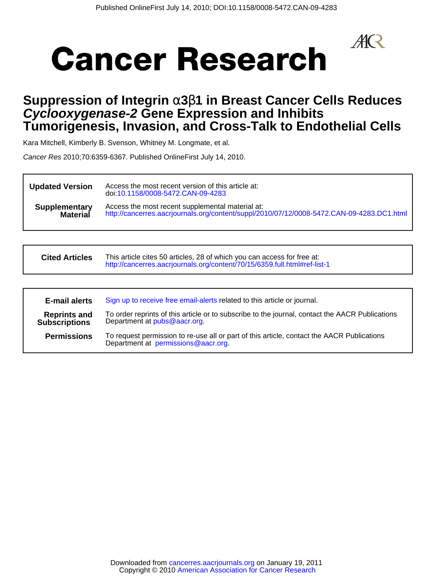$A\!\!R$ 



# **Tumorigenesis, Invasion, and Cross-Talk to Endothelial Cells Cyclooxygenase-2 Gene Expression and Inhibits Suppression of Integrin** α**3**β**1 in Breast Cancer Cells Reduces**

Kara Mitchell, Kimberly B. Svenson, Whitney M. Longmate, et al.

Cancer Res 2010;70:6359-6367. Published OnlineFirst July 14, 2010.

| <b>Updated Version</b> | Access the most recent version of this article at:<br>doi:10.1158/0008-5472.CAN-09-4283   |
|------------------------|-------------------------------------------------------------------------------------------|
| <b>Supplementary</b>   | Access the most recent supplemental material at:                                          |
| <b>Material</b>        | http://cancerres.aacrjournals.org/content/suppl/2010/07/12/0008-5472.CAN-09-4283.DC1.html |

| <b>Cited Articles</b> | This article cites 50 articles, 28 of which you can access for free at:   |
|-----------------------|---------------------------------------------------------------------------|
|                       | http://cancerres.aacrjournals.org/content/70/15/6359.full.html#ref-list-1 |

| <b>E-mail alerts</b>                        | Sign up to receive free email-alerts related to this article or journal.                                                          |
|---------------------------------------------|-----------------------------------------------------------------------------------------------------------------------------------|
| <b>Reprints and</b><br><b>Subscriptions</b> | To order reprints of this article or to subscribe to the journal, contact the AACR Publications<br>Department at pubs@aacr.org.   |
| <b>Permissions</b>                          | To request permission to re-use all or part of this article, contact the AACR Publications<br>Department at permissions@aacr.org. |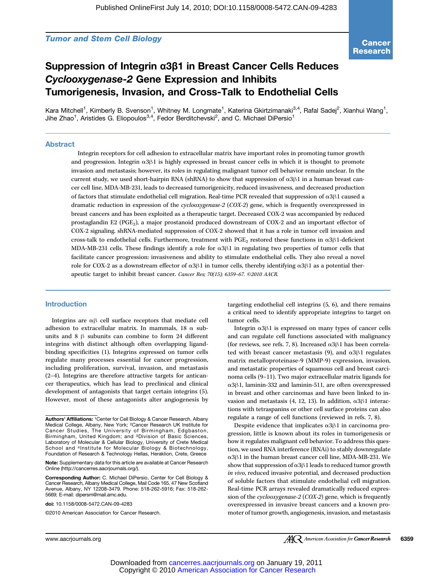# Tumor and Stem Cell Biology

# Suppression of Integrin α3β1 in Breast Cancer Cells Reduces Cyclooxygenase-2 Gene Expression and Inhibits Tumorigenesis, Invasion, and Cross-Talk to Endothelial Cells

Kara Mitchell<sup>1</sup>, Kimberly B. Svenson<sup>1</sup>, Whitney M. Longmate<sup>1</sup>, Katerina Gkirtzimanaki<sup>3,4</sup>, Rafal Sadej<sup>2</sup>, Xianhui Wang<sup>1</sup>, Jihe Zhao<sup>1</sup>, Aristides G. Eliopoulos<sup>3,4</sup>, Fedor Berditchevski<sup>2</sup>, and C. Michael DiPersio<sup>1</sup>

#### Abstract

Integrin receptors for cell adhesion to extracellular matrix have important roles in promoting tumor growth and progression. Integrin α3β1 is highly expressed in breast cancer cells in which it is thought to promote invasion and metastasis; however, its roles in regulating malignant tumor cell behavior remain unclear. In the current study, we used short-hairpin RNA (shRNA) to show that suppression of  $\alpha$ 3 $\beta$ 1 in a human breast cancer cell line, MDA-MB-231, leads to decreased tumorigenicity, reduced invasiveness, and decreased production of factors that stimulate endothelial cell migration. Real-time PCR revealed that suppression of α3β1 caused a dramatic reduction in expression of the cyclooxygenase-2 (COX-2) gene, which is frequently overexpressed in breast cancers and has been exploited as a therapeutic target. Decreased COX-2 was accompanied by reduced prostaglandin E2 (PGE<sub>2</sub>), a major prostanoid produced downstream of COX-2 and an important effector of COX-2 signaling. shRNA-mediated suppression of COX-2 showed that it has a role in tumor cell invasion and cross-talk to endothelial cells. Furthermore, treatment with PGE<sub>2</sub> restored these functions in  $\alpha$ 3 $\beta$ 1-deficient MDA-MB-231 cells. These findings identify a role for  $\alpha$ 3 $\beta$ 1 in regulating two properties of tumor cells that facilitate cancer progression: invasiveness and ability to stimulate endothelial cells. They also reveal a novel role for COX-2 as a downstream effector of α3β1 in tumor cells, thereby identifying α3β1 as a potential therapeutic target to inhibit breast cancer. Cancer Res; 70(15); 6359–67. ©2010 AACR.

# Introduction

Integrins are αβ cell surface receptors that mediate cell adhesion to extracellular matrix. In mammals, 18  $\alpha$  subunits and 8 β subunits can combine to form 24 different integrins with distinct although often overlapping ligandbinding specificities (1). Integrins expressed on tumor cells regulate many processes essential for cancer progression, including proliferation, survival, invasion, and metastasis (2–4). Integrins are therefore attractive targets for anticancer therapeutics, which has lead to preclinical and clinical development of antagonists that target certain integrins (5). However, most of these antagonists alter angiogenesis by

targeting endothelial cell integrins (5, 6), and there remains a critical need to identify appropriate integrins to target on tumor cells.

Integrin α3β1 is expressed on many types of cancer cells and can regulate cell functions associated with malignancy (for reviews, see refs. 7, 8). Increased  $\alpha$ 3 $\beta$ 1 has been correlated with breast cancer metastasis (9), and  $\alpha$ 3 $\beta$ 1 regulates matrix metalloproteinase-9 (MMP-9) expression, invasion, and metastatic properties of squamous cell and breast carcinoma cells (9–11). Two major extracellular matrix ligands for α3β1, laminin-332 and laminin-511, are often overexpressed in breast and other carcinomas and have been linked to invasion and metastasis (4, 12, 13). In addition,  $α3β1$  interactions with tetraspanins or other cell surface proteins can also regulate a range of cell functions (reviewed in refs. 7, 8).

Despite evidence that implicates α3β1 in carcinoma progression, little is known about its roles in tumorigenesis or how it regulates malignant cell behavior. To address this question, we used RNA interference (RNAi) to stably downregulate α3β1 in the human breast cancer cell line, MDA-MB-231. We show that suppression of  $\alpha$ 3 $\beta$ 1 leads to reduced tumor growth in vivo, reduced invasive potential, and decreased production of soluble factors that stimulate endothelial cell migration. Real-time PCR arrays revealed dramatically reduced expression of the *cyclooxygenase-2* (*COX-2*) gene, which is frequently overexpressed in invasive breast cancers and a known promoter of tumor growth, angiogenesis, invasion, and metastasis

Authors' Affiliations: 1Center for Cell Biology & Cancer Research, Albany Medical College, Albany, New York; <sup>2</sup>Cancer Research UK Institute for Cancer Studies, The University of Birmingham, Edgbaston, Birmingham, United Kingdom; and 3Division of Basic Sciences, Laboratory of Molecular & Cellular Biology, University of Crete Medical School and <sup>4</sup>Institute for Molecular Biology & Biotechnology, Foundation of Research & Technology Hellas, Heraklion, Crete, Greece

Note: Supplementary data for this article are available at Cancer Research Online (http://cancerres.aacrjournals.org/).

Corresponding Author: C. Michael DiPersio, Center for Cell Biology & Cancer Research, Albany Medical College, Mail Code 165, 47 New Scotland Avenue, Albany, NY 12208-3479. Phone: 518-262-5916; Fax: 518-262- 5669; E-mail: dipersm@mail.amc.edu.

doi: 10.1158/0008-5472.CAN-09-4283

<sup>©2010</sup> American Association for Cancer Research.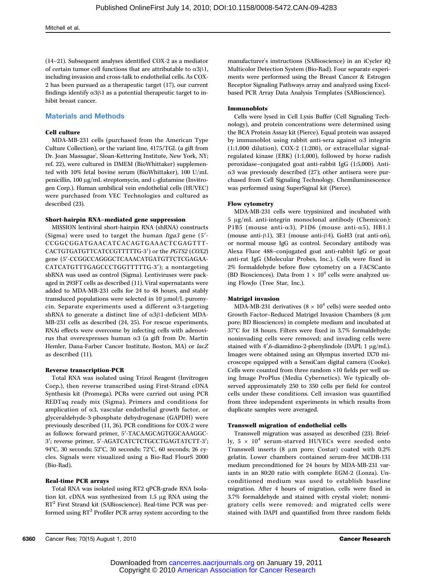(14–21). Subsequent analyses identified COX-2 as a mediator of certain tumor cell functions that are attributable to α3β1, including invasion and cross-talk to endothelial cells. As COX-2 has been pursued as a therapeutic target (17), our current findings identify  $\alpha$ 3 $\beta$ 1 as a potential therapeutic target to inhibit breast cancer.

# Materials and Methods

## Cell culture

MDA-MB-231 cells (purchased from the American Type Culture Collection), or the variant line, 4175/TGL (a gift from Dr. Joan Massague', Sloan-Kettering Institute, New York, NY; ref. 22), were cultured in DMEM (BioWhittaker) supplemented with 10% fetal bovine serum (BioWhittaker), 100 U/mL penicillin, 100 μg/mL streptomycin, and L-glutamine (Invitrogen Corp.). Human umbilical vein endothelial cells (HUVEC) were purchased from VEC Technologies and cultured as described (23).

#### Short-hairpin RNA–mediated gene suppression

MISSION lentiviral short-hairpin RNA (shRNA) constructs (Sigma) were used to target the human  $Itga3$  gene (5'-CCGGCGGATGAACATCACAGTGAAACTCGAGTTT-CACTGTGATGTTCATCCGTTTTTG-3′) or the PGTS2 (COX2) gene (5′-CCGGCCAGGGCTCAAACATGATGTTCTCGAGAA-CATCATGTTTGAGCCCTGGTTTTTG-3′); a nontargeting shRNA was used as control (Sigma). Lentiviruses were packaged in 293FT cells as described (11). Viral supernatants were added to MDA-MB-231 cells for 24 to 48 hours, and stably transduced populations were selected in 10 μmol/L puromycin. Separate experiments used a different α3-targeting shRNA to generate a distinct line of α3β1-deficient MDA-MB-231 cells as described (24, 25). For rescue experiments, RNAi effects were overcome by infecting cells with adenovirus that overexpresses human α3 (a gift from Dr. Martin Hemler, Dana-Farber Cancer Institute, Boston, MA) or lacZ as described (11).

#### Reverse transcription-PCR

Total RNA was isolated using Trizol Reagent (Invitrogen Corp.), then reverse transcribed using First-Strand cDNA Synthesis kit (Promega). PCRs were carried out using PCR REDTaq ready mix (Sigma). Primers and conditions for amplication of α3, vascular endothelial growth factor, or glyceraldehyde-3-phosphate dehydrogenase (GAPDH) were previously described (11, 26). PCR conditions for COX-2 were as follows: forward primer, 5′-TACAAGCAGTGGCAAAGGC-3′; reverse primer, 5′-AGATCATCTCTGCCTGAGTATCTT-3′; 94°C, 30 seconds; 52°C, 30 seconds; 72°C, 60 seconds; 26 cycles. Signals were visualized using a Bio-Rad FlourS 2000 (Bio-Rad).

## Real-time PCR arrays

Total RNA was isolated using RT2 qPCR-grade RNA Isolation kit. cDNA was synthesized from 1.5 μg RNA using the RT<sup>2</sup> First Strand kit (SABioscience). Real-time PCR was performed using  $RT^2$  Profiler PCR array system according to the

manufacturer's instructions (SABioscience) in an iCycler iQ Multicolor Detection System (Bio-Rad). Four separate experiments were performed using the Breast Cancer & Estrogen Receptor Signaling Pathways array and analyzed using Excelbased PCR Array Data Analysis Templates (SABioscience).

#### Immunoblots

Cells were lysed in Cell Lysis Buffer (Cell Signaling Technology), and protein concentrations were determined using the BCA Protein Assay kit (Pierce). Equal protein was assayed by immunoblot using rabbit anti-sera against α3 integrin (1:1,000 dilution), COX-2 (1:200), or extracellular signalregulated kinase (ERK) (1:1,000), followed by horse radish peroxidase–conjugated goat anti-rabbit IgG (1:5,000). Antiα3 was previously described (27); other antisera were purchased from Cell Signaling Technology. Chemiluminescence was performed using SuperSignal kit (Pierce).

#### Flow cytometry

MDA-MB-231 cells were trypsinized and incubated with 5 μg/mL anti-integrin monoclonal antibody (Chemicon): P1B5 (mouse anti-α3), P1D6 (mouse anti-α5), HB1.1 (mouse anti-β1), 3E1 (mouse anti-β4), GoH3 (rat anti- $\alpha$ 6), or normal mouse IgG as control. Secondary antibody was Alexa Fluor 488–conjugated goat anti-rabbit IgG or goat anti-rat IgG (Molecular Probes, Inc.). Cells were fixed in 2% formaldehyde before flow cytometry on a FACSCanto (BD Biosciences). Data from  $1 \times 10^4$  cells were analyzed using FlowJo (Tree Star, Inc.).

#### Matrigel invasion

MDA-MB-231 derivatives  $(8 \times 10^4 \text{ cells})$  were seeded onto Growth Factor–Reduced Matrigel Invasion Chambers (8 μm pore; BD Biosciences) in complete medium and incubated at 37°C for 18 hours. Filters were fixed in 3.7% formaldehyde; noninvading cells were removed; and invading cells were stained with 4′,6-diamidino-2-phenylindole (DAPI; 1 μg/mL). Images were obtained using an Olympus inverted IX70 microscope equipped with a SensiCam digital camera (Cooke). Cells were counted from three random ×10 fields per well using Image ProPlus (Media Cybernetics). We typically observed approximately 250 to 350 cells per field for control cells under these conditions. Cell invasion was quantified from three independent experiments in which results from duplicate samples were averaged.

#### Transwell migration of endothelial cells

Transwell migration was assayed as described (23). Briefly,  $5 \times 10^4$  serum-starved HUVECs were seeded onto Transwell inserts (8 μm pore; Costar) coated with 0.2% gelatin. Lower chambers contained serum-free MCDB-131 medium preconditioned for 24 hours by MDA-MB-231 variants in an 80:20 ratio with complete EGM-2 (Lonza). Unconditioned medium was used to establish baseline migration. After 4 hours of migration, cells were fixed in 3.7% formaldehyde and stained with crystal violet; nonmigratory cells were removed; and migrated cells were stained with DAPI and quantified from three random fields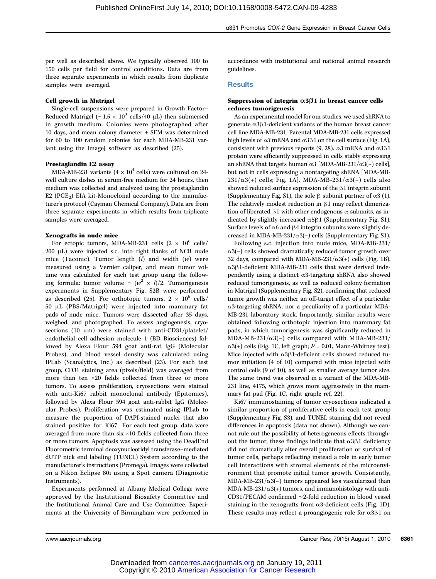per well as described above. We typically observed 100 to 150 cells per field for control conditions. Data are from three separate experiments in which results from duplicate samples were averaged.

# Cell growth in Matrigel

Single-cell suspensions were prepared in Growth Factor– Reduced Matrigel ( $\sim$ 1.5 × 10<sup>3</sup> cells/40 μL) then submersed in growth medium. Colonies were photographed after 10 days, and mean colony diameter ± SEM was determined for 60 to 100 random colonies for each MDA-MB-231 variant using the ImageJ software as described (25).

#### Prostaglandin E2 assay

MDA-MB-231 variants (4  $\times$  10<sup>4</sup> cells) were cultured on 24well culture dishes in serum-free medium for 24 hours, then medium was collected and analyzed using the prostaglandin E2 ( $PGE_2$ ) EIA kit-Monoclonal according to the manufacturer's protocol (Cayman Chemical Company). Data are from three separate experiments in which results from triplicate samples were averaged.

#### Xenografts in nude mice

For ectopic tumors, MDA-MB-231 cells  $(2 \times 10^6 \text{ cells})$ 200 μL) were injected s.c. into right flanks of NCR nude mice (Taconic). Tumor length  $(l)$  and width  $(w)$  were measured using a Vernier caliper, and mean tumor volume was calculated for each test group using the following formula: tumor volume =  $(w^2 \times l)/2$ . Tumorigenesis experiments in Supplementary Fig. S2B were performed as described (25). For orthotopic tumors,  $2 \times 10^6$  cells/ 50 μL (PBS/Matrigel) were injected into mammary fat pads of nude mice. Tumors were dissected after 35 days, weighed, and photographed. To assess angiogenesis, cryosections (10 μm) were stained with anti-CD31/platelet/ endothelial cell adhesion molecule 1 (BD Biosciences) followed by Alexa Flour 594 goat anti-rat IgG (Molecular Probes), and blood vessel density was calculated using IPLab (Scanalytics, Inc.) as described (23). For each test group, CD31 staining area (pixels/field) was averaged from more than ten ×20 fields collected from three or more tumors. To assess proliferation, cryosections were stained with anti-Ki67 rabbit monoclonal antibody (Epitomics), followed by Alexa Flour 594 goat anti-rabbit IgG (Molecular Probes). Proliferation was estimated using IPLab to measure the proportion of DAPI-stained nuclei that also stained positive for Ki67. For each test group, data were averaged from more than six ×10 fields collected from three or more tumors. Apoptosis was assessed using the DeadEnd Fluorometric terminal deoxynucleotidyl transferase–mediated dUTP nick end labeling (TUNEL) System according to the manufacturer's instructions (Promega). Images were collected on a Nikon Eclipse 80i using a Spot camera (Diagnostic Instruments).

Experiments performed at Albany Medical College were approved by the Institutional Biosafety Committee and the Institutional Animal Care and Use Committee. Experiments at the University of Birmingham were performed in accordance with institutional and national animal research guidelines.

#### **Results**

# Suppression of integrin  $\alpha 3\beta 1$  in breast cancer cells reduces tumorigenesis

As an experimental model for our studies, we used shRNA to generate α3β1-deficient variants of the human breast cancer cell line MDA-MB-231. Parental MDA-MB-231 cells expressed high levels of  $\alpha$ 3 mRNA and  $\alpha$ 3 $\beta$ 1 on the cell surface (Fig. 1A), consistent with previous reports (9, 28).  $\alpha$ 3 mRNA and α3β1 protein were efficiently suppressed in cells stably expressing an shRNA that targets human  $\alpha$ 3 [MDA-MB-231/α3(−) cells], but not in cells expressing a nontargeting shRNA [MDA-MB- $231/\alpha3(+)$  cells; Fig. 1A]. MDA-MB-231/ $\alpha3(-)$  cells also showed reduced surface expression of the β1 integrin subunit (Supplementary Fig. S1), the sole  $\beta$  subunit partner of  $\alpha$ 3 (1). The relatively modest reduction in β1 may reflect dimerization of liberated β1 with other endogenous  $\alpha$  subunits, as indicated by slightly increased  $\alpha$ 5β1 (Supplementary Fig. S1). Surface levels of  $α6$  and  $β4$  integrin subunits were slightly decreased in MDA-MB-231/ $\alpha$ 3(−) cells (Supplementary Fig. S1).

Following s.c. injection into nude mice, MDA-MB-231/ α3(−) cells showed dramatically reduced tumor growth over 32 days, compared with MDA-MB-231/ $\alpha$ 3(+) cells (Fig. 1B). α3β1-deficient MDA-MB-231 cells that were derived independently using a distinct α3-targeting shRNA also showed reduced tumorigenesis, as well as reduced colony formation in Matrigel (Supplementary Fig. S2), confirming that reduced tumor growth was neither an off-target effect of a particular α3-targeting shRNA, nor a peculiarity of a particular MDA-MB-231 laboratory stock. Importantly, similar results were obtained following orthotopic injection into mammary fat pads, in which tumorigenesis was significantly reduced in MDA-MB-231/α3(−) cells compared with MDA-MB-231/  $\alpha$ 3(+) cells (Fig. 1C, left graph;  $P = 0.01$ , Mann-Whitney test). Mice injected with α3β1-deficient cells showed reduced tumor initiation (4 of 10) compared with mice injected with control cells (9 of 10), as well as smaller average tumor size. The same trend was observed in a variant of the MDA-MB-231 line, 4175, which grows more aggressively in the mammary fat pad (Fig. 1C, right graph; ref. 22).

Ki67 immunostaining of tumor cryosections indicated a similar proportion of proliferative cells in each test group (Supplementary Fig. S3), and TUNEL staining did not reveal differences in apoptosis (data not shown). Although we cannot rule out the possibility of heterogeneous effects throughout the tumor, these findings indicate that  $α3β1$  deficiency did not dramatically alter overall proliferation or survival of tumor cells, perhaps reflecting instead a role in early tumor cell interactions with stromal elements of the microenvironment that promote initial tumor growth. Consistently, MDA-MB-231/α3(−) tumors appeared less vascularized than MDA-MB-231/ $\alpha$ 3(+) tumors, and immunohistology with anti-CD31/PECAM confirmed ∼2-fold reduction in blood vessel staining in the xenografts from  $\alpha$ 3-deficient cells (Fig. 1D). These results may reflect a proangiogenic role for  $\alpha$ 3β1 on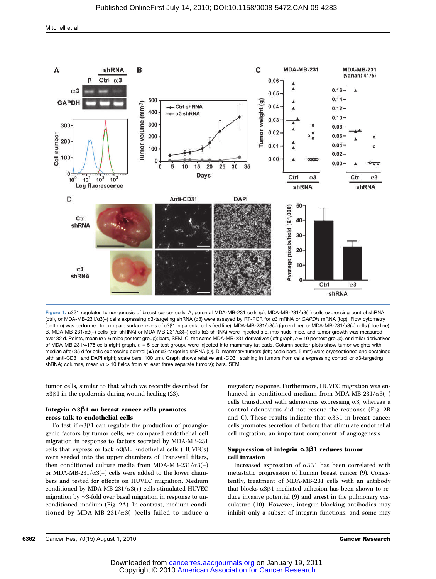

Figure 1. α3β1 regulates tumorigenesis of breast cancer cells. A, parental MDA-MB-231 cells (p), MDA-MB-231/α3(+) cells expressing control shRNA (ctrl), or MDA-MB-231/α3(-) cells expressing α3-targeting shRNA (α3) were assayed by RT-PCR for α3 mRNA or GAPDH mRNA (top). Flow cytometry (bottom) was performed to compare surface levels of α3β1 in parental cells (red line), MDA-MB-231/α3(+) (green line), or MDA-MB-231/α3(−) cells (blue line). B, MDA-MB-231/α3(+) cells (ctrl shRNA) or MDA-MB-231/α3(−) cells (α3 shRNA) were injected s.c. into nude mice, and tumor growth was measured over 32 d. Points, mean (n > 6 mice per test group); bars, SEM. C, the same MDA-MB-231 derivatives (left graph, n = 10 per test group), or similar derivatives of MDA-MB-231/4175 cells (right graph,  $n = 5$  per test group), were injected into mammary fat pads. Column scatter plots show tumor weights with median after 35 d for cells expressing control (▲) or α3-targeting shRNA (○). D, mammary tumors (left; scale bars, 5 mm) were cryosectioned and costained with anti-CD31 and DAPI (right; scale bars, 100 μm). Graph shows relative anti-CD31 staining in tumors from cells expressing control or α3-targeting shRNA; columns, mean  $(n > 10$  fields from at least three separate tumors); bars, SEM.

tumor cells, similar to that which we recently described for α3β1 in the epidermis during wound healing (23).

# Integrin α3β1 on breast cancer cells promotes cross-talk to endothelial cells

To test if α3β1 can regulate the production of proangiogenic factors by tumor cells, we compared endothelial cell migration in response to factors secreted by MDA-MB-231 cells that express or lack  $α3β1$ . Endothelial cells (HUVECs) were seeded into the upper chambers of Transwell filters, then conditioned culture media from MDA-MB-231/ $\alpha$ 3(+) or MDA-MB-231/ $\alpha$ 3(−) cells were added to the lower chambers and tested for effects on HUVEC migration. Medium conditioned by MDA-MB-231/ $\alpha$ 3(+) cells stimulated HUVEC migration by ∼3-fold over basal migration in response to unconditioned medium (Fig. 2A). In contrast, medium conditioned by MDA-MB-231/ $\alpha$ 3(−)cells failed to induce a

migratory response. Furthermore, HUVEC migration was enhanced in conditioned medium from MDA-MB-231/ $\alpha$ 3(−) cells transduced with adenovirus expressing α3, whereas a control adenovirus did not rescue the response (Fig. 2B and C). These results indicate that  $\alpha$ 3 $\beta$ 1 in breast cancer cells promotes secretion of factors that stimulate endothelial cell migration, an important component of angiogenesis.

# Suppression of integrin  $\alpha$ 3 $\beta$ 1 reduces tumor cell invasion

Increased expression of α3β1 has been correlated with metastatic progression of human breast cancer (9). Consistently, treatment of MDA-MB-231 cells with an antibody that blocks  $α3β1$ -mediated adhesion has been shown to reduce invasive potential (9) and arrest in the pulmonary vasculature (10). However, integrin-blocking antibodies may inhibit only a subset of integrin functions, and some may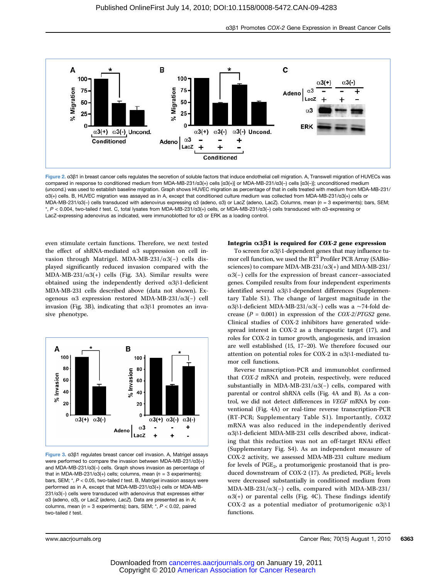

Figure 2. α3β1 in breast cancer cells regulates the secretion of soluble factors that induce endothelial cell migration. A, Transwell migration of HUVECs was compared in response to conditioned medium from MDA-MB-231/α3(+) cells [α3(+)] or MDA-MB-231/α3(-) cells [α3(-)]; unconditioned medium (uncond.) was used to establish baseline migration. Graph shows HUVEC migration as percentage of that in cells treated with medium from MDA-MB-231/ α3(+) cells. B, HUVEC migration was assayed as in A, except that conditioned culture medium was collected from MDA-MB-231/α3(+) cells or MDA-MB-231/α3(-) cells transduced with adenovirus expressing α3 (adeno, α3) or LacZ (adeno, LacZ). Columns, mean (n = 3 experiments); bars, SEM; \*, P < 0.004, two-tailed t test. C, total lysates from MDA-MB-231/α3(+) cells, or MDA-MB-231/α3(−) cells transduced with α3-expressing or LacZ-expressing adenovirus as indicated, were immunoblotted for α3 or ERK as a loading control.

even stimulate certain functions. Therefore, we next tested the effect of shRNA-mediated  $\alpha$ 3 suppression on cell invasion through Matrigel. MDA-MB-231/α3(−) cells displayed significantly reduced invasion compared with the MDA-MB-231/ $\alpha$ 3(+) cells (Fig. 3A). Similar results were obtained using the independently derived  $\alpha$ 3β1-deficient MDA-MB-231 cells described above (data not shown). Exogenous α3 expression restored MDA-MB-231/α3(−) cell invasion (Fig. 3B), indicating that  $α3β1$  promotes an invasive phenotype.



Figure 3. α3β1 regulates breast cancer cell invasion. A, Matrigel assays were performed to compare the invasion between MDA-MB-231/α3(+) and MDA-MB-231/α3(−) cells. Graph shows invasion as percentage of that in MDA-MB-231/α3(+) cells; columns, mean  $(n = 3$  experiments); bars, SEM;  $*$ ,  $P < 0.05$ , two-tailed t test. B, Matrigel invasion assays were performed as in A, except that MDA-MB-231/α3(+) cells or MDA-MB-231/α3(−) cells were transduced with adenovirus that expresses either α3 (adeno, α3), or LacZ (adeno, LacZ). Data are presented as in A; columns, mean  $(n = 3$  experiments); bars, SEM;  $*$ ,  $P < 0.02$ , paired two-tailed  $t$  test.

# Integrin  $\alpha$ 3β1 is required for *COX-2* gene expression

To screen for α3β1-dependent genes that may influence tumor cell function, we used the  $RT^2$  Profiler PCR Array (SABiosciences) to compare MDA-MB-231/ $\alpha$ 3(+) and MDA-MB-231/ α3(−) cells for the expression of breast cancer–associated genes. Compiled results from four independent experiments identified several α3β1-dependent differences (Supplementary Table S1). The change of largest magnitude in the α3β1-deficient MDA-MB-231/α3(−) cells was a ∼74-fold decrease ( $P = 0.001$ ) in expression of the COX-2/PTGS2 gene. Clinical studies of COX-2 inhibitors have generated widespread interest in COX-2 as a therapeutic target (17), and roles for COX-2 in tumor growth, angiogenesis, and invasion are well established (15, 17–20). We therefore focused our attention on potential roles for COX-2 in α3β1-mediated tumor cell functions.

Reverse transcription-PCR and immunoblot confirmed that COX-2 mRNA and protein, respectively, were reduced substantially in MDA-MB-231/ $\alpha$ 3(−) cells, compared with parental or control shRNA cells (Fig. 4A and B). As a control, we did not detect differences in VEGF mRNA by conventional (Fig. 4A) or real-time reverse transcription-PCR (RT-PCR; Supplementary Table S1). Importantly, COX2 mRNA was also reduced in the independently derived α3β1-deficient MDA-MB-231 cells described above, indicating that this reduction was not an off-target RNAi effect (Supplementary Fig. S4). As an independent measure of COX-2 activity, we assessed MDA-MB-231 culture medium for levels of  $PGE_2$ , a protumorigenic prostanoid that is produced downstream of COX-2 (17). As predicted,  $PGE_2$  levels were decreased substantially in conditioned medium from MDA-MB-231/α3(−) cells, compared with MDA-MB-231/  $\alpha$ 3(+) or parental cells (Fig. 4C). These findings identify COX-2 as a potential mediator of protumorigenic α3β1 functions.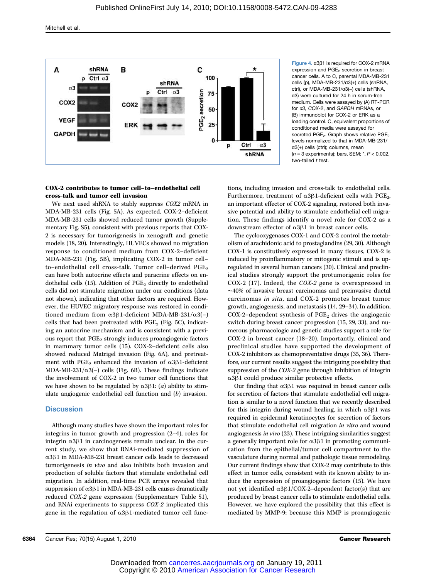

Figure 4. α3β1 is required for COX-2 mRNA expression and PGE<sub>2</sub> secretion in breast cancer cells. A to C, parental MDA-MB-231 cells (p), MDA-MB-231/α3(+) cells (shRNA, ctrl), or MDA-MB-231/α3(-) cells (shRNA, α3) were cultured for 24 h in serum-free medium. Cells were assayed by (A) RT-PCR for α3, COX-2, and GAPDH mRNAs, or (B) immunoblot for COX-2 or ERK as a loading control. C, equivalent proportions of conditioned media were assayed for secreted PGE<sub>2</sub>. Graph shows relative PGE<sub>2</sub> levels normalized to that in MDA-MB-231/ α3(+) cells (ctrl); columns, mean  $(n = 3$  experiments); bars, SEM;  $\dot{r}$ ,  $P < 0.002$ , two-tailed  $t$  test.

# COX-2 contributes to tumor cell–to–endothelial cell cross-talk and tumor cell invasion

We next used shRNA to stably suppress COX2 mRNA in MDA-MB-231 cells (Fig. 5A). As expected, COX-2–deficient MDA-MB-231 cells showed reduced tumor growth (Supplementary Fig. S5), consistent with previous reports that COX-2 is necessary for tumorigenesis in xenograft and genetic models (18, 20). Interestingly, HUVECs showed no migration response to conditioned medium from COX-2–deficient MDA-MB-231 (Fig. 5B), implicating COX-2 in tumor cell– to-endothelial cell cross-talk. Tumor cell-derived  $PGE_2$ can have both autocrine effects and paracrine effects on endothelial cells (15). Addition of  $PGE_2$  directly to endothelial cells did not stimulate migration under our conditions (data not shown), indicating that other factors are required. However, the HUVEC migratory response was restored in conditioned medium from  $\alpha$ 3β1-deficient MDA-MB-231/ $\alpha$ 3(−) cells that had been pretreated with  $PGE_2$  (Fig. 5C), indicating an autocrine mechanism and is consistent with a previous report that PGE<sub>2</sub> strongly induces proangiogenic factors in mammary tumor cells (15). COX-2–deficient cells also showed reduced Matrigel invasion (Fig. 6A), and pretreatment with PGE<sub>2</sub> enhanced the invasion of  $\alpha$ 3β1-deficient MDA-MB-231/ $\alpha$ 3(−) cells (Fig. 6B). These findings indicate the involvement of COX-2 in two tumor cell functions that we have shown to be regulated by  $\alpha 3\beta 1$ : (a) ability to stimulate angiogenic endothelial cell function and (b) invasion.

# **Discussion**

Although many studies have shown the important roles for integrins in tumor growth and progression (2–4), roles for integrin α3β1 in carcinogenesis remain unclear. In the current study, we show that RNAi-mediated suppression of α3β1 in MDA-MB-231 breast cancer cells leads to decreased tumorigenesis in vivo and also inhibits both invasion and production of soluble factors that stimulate endothelial cell migration. In addition, real-time PCR arrays revealed that suppression of α3β1 in MDA-MB-231 cells causes dramatically reduced COX-2 gene expression (Supplementary Table S1), and RNAi experiments to suppress COX-2 implicated this gene in the regulation of α3β1-mediated tumor cell func-

tions, including invasion and cross-talk to endothelial cells. Furthermore, treatment of  $\alpha$ 3 $\beta$ 1-deficient cells with PGE<sub>2</sub>, an important effector of COX-2 signaling, restored both invasive potential and ability to stimulate endothelial cell migration. These findings identify a novel role for COX-2 as a downstream effector of α3β1 in breast cancer cells.

The cyclooxygenases COX-1 and COX-2 control the metabolism of arachidonic acid to prostaglandins (29, 30). Although COX-1 is constitutively expressed in many tissues, COX-2 is induced by proinflammatory or mitogenic stimuli and is upregulated in several human cancers (30). Clinical and preclinical studies strongly support the protumorigenic roles for COX-2 (17). Indeed, the COX-2 gene is overexpressed in ∼40% of invasive breast carcinomas and preinvasive ductal carcinomas in situ, and COX-2 promotes breast tumor growth, angiogenesis, and metastasis (14, 29–34). In addition,  $COX-2$ -dependent synthesis of  $PGE<sub>2</sub>$  drives the angiogenic switch during breast cancer progression (15, 29, 33), and numerous pharmacologic and genetic studies support a role for COX-2 in breast cancer (18–20). Importantly, clinical and preclinical studies have supported the development of COX-2 inhibitors as chemopreventative drugs (35, 36). Therefore, our current results suggest the intriguing possibility that suppression of the COX-2 gene through inhibition of integrin α3β1 could produce similar protective effects.

Our finding that  $α3β1$  was required in breast cancer cells for secretion of factors that stimulate endothelial cell migration is similar to a novel function that we recently described for this integrin during wound healing, in which  $\alpha$ 3β1 was required in epidermal keratinocytes for secretion of factors that stimulate endothelial cell migration in vitro and wound angiogenesis in vivo (23). These intriguing similarities suggest a generally important role for α3β1 in promoting communication from the epithelial/tumor cell compartment to the vasculature during normal and pathologic tissue remodeling. Our current findings show that COX-2 may contribute to this effect in tumor cells, consistent with its known ability to induce the expression of proangiogenic factors (15). We have not yet identified  $\alpha$ 3β1/COX-2–dependent factor(s) that are produced by breast cancer cells to stimulate endothelial cells. However, we have explored the possibility that this effect is mediated by MMP-9; because this MMP is proangiogenic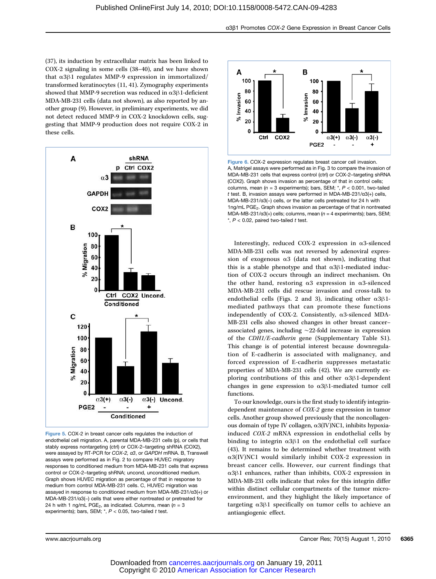(37), its induction by extracellular matrix has been linked to COX-2 signaling in some cells (38–40), and we have shown that α3β1 regulates MMP-9 expression in immortalized/ transformed keratinocytes (11, 41). Zymography experiments showed that MMP-9 secretion was reduced in  $\alpha$ 3 $\beta$ 1-deficient MDA-MB-231 cells (data not shown), as also reported by another group (9). However, in preliminary experiments, we did not detect reduced MMP-9 in COX-2 knockdown cells, suggesting that MMP-9 production does not require COX-2 in these cells.



Figure 5. COX-2 in breast cancer cells regulates the induction of endothelial cell migration. A, parental MDA-MB-231 cells (p), or cells that stably express nontargeting (ctrl) or COX-2–targeting shRNA (COX2), were assayed by RT-PCR for COX-2, α3, or GAPDH mRNA. B, Transwell assays were performed as in Fig. 2 to compare HUVEC migratory responses to conditioned medium from MDA-MB-231 cells that express control or COX-2–targeting shRNA; uncond, unconditioned medium. Graph shows HUVEC migration as percentage of that in response to medium from control MDA-MB-231 cells. C, HUVEC migration was assayed in response to conditioned medium from MDA-MB-231/α3(+) or MDA-MB-231/α3(−) cells that were either nontreated or pretreated for 24 h with 1 ng/mL PGE<sub>2</sub>, as indicated. Columns, mean  $(n = 3)$ experiments); bars, SEM;  $*$ ,  $P < 0.05$ , two-tailed t test.



Figure 6. COX-2 expression regulates breast cancer cell invasion. A, Matrigel assays were performed as in Fig. 3 to compare the invasion of MDA-MB-231 cells that express control (ctrl) or COX-2–targeting shRNA (COX2). Graph shows invasion as percentage of that in control cells; columns, mean  $(n = 3$  experiments); bars, SEM;  $*$ ,  $P < 0.001$ , two-tailed t test. B, invasion assays were performed in MDA-MB-231/α3(+) cells, MDA-MB-231/α3(−) cells, or the latter cells pretreated for 24 h with 1ng/mL PGE<sub>2</sub>. Graph shows invasion as percentage of that in nontreated MDA-MB-231/ $\alpha$ 3(+) cells; columns, mean ( $n = 4$  experiments); bars, SEM;  $*$ ,  $P < 0.02$ , paired two-tailed t test.

Interestingly, reduced COX-2 expression in α3-silenced MDA-MB-231 cells was not reversed by adenoviral expression of exogenous  $\alpha$ 3 (data not shown), indicating that this is a stable phenotype and that  $α3β1$ -mediated induction of COX-2 occurs through an indirect mechanism. On the other hand, restoring α3 expression in α3-silenced MDA-MB-231 cells did rescue invasion and cross-talk to endothelial cells (Figs. 2 and 3), indicating other  $\alpha 3\beta 1$ mediated pathways that can promote these functions independently of COX-2. Consistently,  $\alpha$ 3-silenced MDA-MB-231 cells also showed changes in other breast cancer– associated genes, including ∼22-fold increase in expression of the CDH1/E-cadherin gene (Supplementary Table S1). This change is of potential interest because downregulation of E-cadherin is associated with malignancy, and forced expression of E-cadherin suppresses metastatic properties of MDA-MB-231 cells (42). We are currently exploring contributions of this and other α3β1-dependent changes in gene expression to α3β1-mediated tumor cell functions.

To our knowledge, ours is the first study to identify integrindependent maintenance of COX-2 gene expression in tumor cells. Another group showed previously that the noncollagenous domain of type IV collagen, α3(IV)NC1, inhibits hypoxiainduced COX-2 mRNA expression in endothelial cells by binding to integrin α3β1 on the endothelial cell surface (43). It remains to be determined whether treatment with α3(IV)NC1 would similarly inhibit COX-2 expression in breast cancer cells. However, our current findings that α3β1 enhances, rather than inhibits, COX-2 expression in MDA-MB-231 cells indicate that roles for this integrin differ within distinct cellular compartments of the tumor microenvironment, and they highlight the likely importance of targeting α3β1 specifically on tumor cells to achieve an antiangiogenic effect.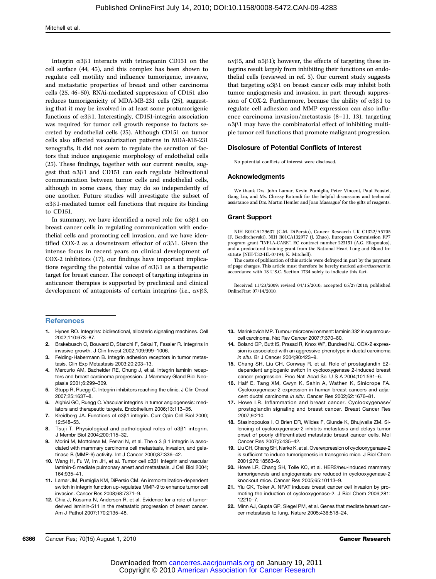Integrin α3β1 interacts with tetraspanin CD151 on the cell surface (44, 45), and this complex has been shown to regulate cell motility and influence tumorigenic, invasive, and metastatic properties of breast and other carcinoma cells (25, 46–50). RNAi-mediated suppression of CD151 also reduces tumorigenicity of MDA-MB-231 cells (25), suggesting that it may be involved in at least some protumorigenic functions of α3β1. Interestingly, CD151-integrin association was required for tumor cell growth response to factors secreted by endothelial cells (25). Although CD151 on tumor cells also affected vascularization patterns in MDA-MB-231 xenografts, it did not seem to regulate the secretion of factors that induce angiogenic morphology of endothelial cells (25). These findings, together with our current results, suggest that α3β1 and CD151 can each regulate bidirectional communication between tumor cells and endothelial cells, although in some cases, they may do so independently of one another. Future studies will investigate the subset of α3β1-mediated tumor cell functions that require its binding to CD151.

In summary, we have identified a novel role for α3β1 on breast cancer cells in regulating communication with endothelial cells and promoting cell invasion, and we have identified COX-2 as a downstream effector of α3β1. Given the intense focus in recent years on clinical development of COX-2 inhibitors (17), our findings have important implications regarding the potential value of  $\alpha$ 3β1 as a therapeutic target for breast cancer. The concept of targeting integrins in anticancer therapies is supported by preclinical and clinical development of antagonists of certain integrins (i.e., αvβ3,

#### **References**

- 1. Hynes RO. Integrins: bidirectional, allosteric signaling machines. Cell 2002;110:673–87.
- 2. Brakebusch C, Bouvard D, Stanchi F, Sakai T, Fassler R. Integrins in invasive growth. J Clin Invest 2002;109:999–1006.
- 3. Felding-Habermann B. Integrin adhesion receptors in tumor metastasis. Clin Exp Metastasis 2003;20:203–13.
- 4. Mercurio AM, Bachelder RE, Chung J, et al. Integrin laminin receptors and breast carcinoma progression. J Mammary Gland Biol Neoplasia 2001;6:299–309.
- 5. Stupp R, Ruegg C. Integrin inhibitors reaching the clinic. J Clin Oncol 2007;25:1637–8.
- 6. Alghisi GC, Ruegg C. Vascular integrins in tumor angiogenesis: mediators and therapeutic targets. Endothelium 2006;13:113–35.
- 7. Kreidberg JA. Functions of α3β1 integrin. Curr Opin Cell Biol 2000; 12:548–53.
- 8. Tsuji T. Physiological and pathological roles of α3β1 integrin. J Membr Biol 2004;200:115–32.
- 9. Morini M, Mottolese M, Ferrari N, et al. The  $\alpha$  3 β 1 integrin is associated with mammary carcinoma cell metastasis, invasion, and gelatinase B (MMP-9) activity. Int J Cancer 2000;87:336–42.
- 10. Wang H, Fu W, Im JH, et al. Tumor cell α3β1 integrin and vascular laminin-5 mediate pulmonary arrest and metastasis. J Cell Biol 2004; 164:935–41.
- 11. Lamar JM, Pumiglia KM, DiPersio CM. An immortalization-dependent switch in integrin function up-regulates MMP-9 to enhance tumor cell invasion. Cancer Res 2008;68:7371–9.
- 12. Chia J, Kusuma N, Anderson R, et al. Evidence for a role of tumorderived laminin-511 in the metastatic progression of breast cancer. Am J Pathol 2007;170:2135–48.

αvβ5, and α5β1); however, the effects of targeting these integrins result largely from inhibiting their functions on endothelial cells (reviewed in ref. 5). Our current study suggests that targeting α3β1 on breast cancer cells may inhibit both tumor angiogenesis and invasion, in part through suppression of COX-2. Furthermore, because the ability of α3β1 to regulate cell adhesion and MMP expression can also influence carcinoma invasion/metastasis (8–11, 13), targeting α3β1 may have the combinatorial effect of inhibiting multiple tumor cell functions that promote malignant progression.

#### Disclosure of Potential Conflicts of Interest

No potential conflicts of interest were disclosed.

#### Acknowledgments

We thank Drs. John Lamar, Kevin Pumiglia, Peter Vincent, Paul Feustel, Gang Liu, and Ms. Chrissy Rotondi for the helpful discussions and technical assistance and Drs. Martin Hemler and Joan Massague' for the gifts of reagents.

#### Grant Support

NIH R01CA129637 (C.M. DiPersio), Cancer Research UK C1322/A5705 (F. Berditchevski), NIH R01CA132977 (J. Zhao), European Commission FP7 program grant "INFLA-CARE", EC contract number 223151 (A.G. Eliopoulos), and a predoctoral training grant from the National Heart Lung and Blood Institute (NIH-T32-HL-07194; K. Mitchell).

The costs of publication of this article were defrayed in part by the payment of page charges. This article must therefore be hereby marked advertisement in accordance with 18 U.S.C. Section 1734 solely to indicate this fact.

Received 11/23/2009; revised 04/15/2010; accepted 05/27/2010; published OnlineFirst 07/14/2010.

- 13. Marinkovich MP. Tumour microenvironment: laminin 332 in squamouscell carcinoma. Nat Rev Cancer 2007;7:370–80.
- 14. Boland GP, Butt IS, Prasad R, Knox WF, Bundred NJ. COX-2 expression is associated with an aggressive phenotype in ductal carcinoma in situ. Br J Cancer 2004;90:423–9.
- 15. Chang SH, Liu CH, Conway R, et al. Role of prostaglandin E2 dependent angiogenic switch in cyclooxygenase 2-induced breast cancer progression. Proc Natl Acad Sci U S A 2004;101:591–6.
- 16. Half E, Tang XM, Gwyn K, Sahin A, Wathen K, Sinicrope FA. Cyclooxygenase-2 expression in human breast cancers and adjacent ductal carcinoma in situ. Cancer Res 2002;62:1676–81.
- 17. Howe LR. Inflammation and breast cancer. Cyclooxygenase/ prostaglandin signaling and breast cancer. Breast Cancer Res 2007;9:210.
- 18. Stasinopoulos I, O'Brien DR, Wildes F, Glunde K, Bhujwalla ZM. Silencing of cyclooxygenase-2 inhibits metastasis and delays tumor onset of poorly differentiated metastatic breast cancer cells. Mol Cancer Res 2007;5:435–42.
- 19. Liu CH, Chang SH, Narko K, et al. Overexpression of cyclooxygenase-2 is sufficient to induce tumorigenesis in transgenic mice. J Biol Chem 2001;276:18563–9.
- 20. Howe LR, Chang SH, Tolle KC, et al. HER2/neu-induced mammary tumorigenesis and angiogenesis are reduced in cyclooxygenase-2 knockout mice. Cancer Res 2005;65:10113–9.
- 21. Yiu GK, Toker A. NFAT induces breast cancer cell invasion by promoting the induction of cyclooxygenase-2. J Biol Chem 2006;281: 12210–7.
- 22. Minn AJ, Gupta GP, Siegel PM, et al. Genes that mediate breast cancer metastasis to lung. Nature 2005;436:518–24.